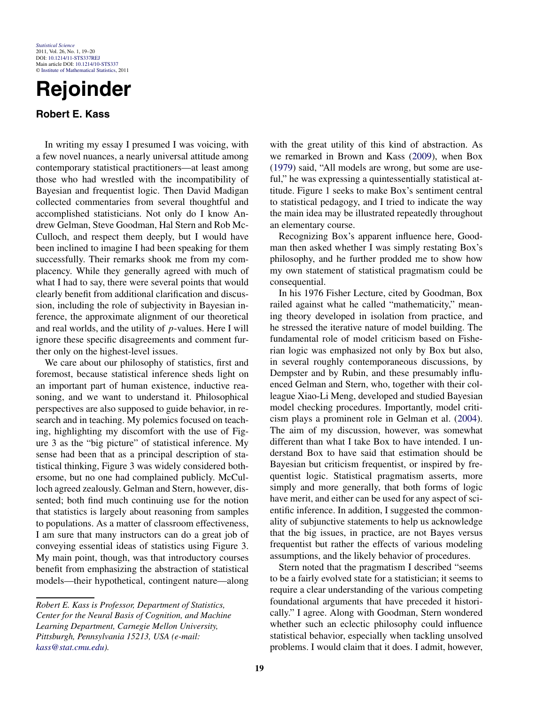## *[Statistical Science](http://www.imstat.org/sts/)* 2011, Vol. 26, No. 1, 19–20 DOI: [10.1214/11-STS337REJ](http://dx.doi.org/10.1214/11-STS337REJ) Main article DOI: [10.1214/10-STS337](http://dx.doi.org/10.1214/10-STS337) © [Institute of Mathematical Statistics,](http://www.imstat.org) 2011

## **Rejoinder**

## **Robert E. Kass**

In writing my essay I presumed I was voicing, with a few novel nuances, a nearly universal attitude among contemporary statistical practitioners—at least among those who had wrestled with the incompatibility of Bayesian and frequentist logic. Then David Madigan collected commentaries from several thoughtful and accomplished statisticians. Not only do I know Andrew Gelman, Steve Goodman, Hal Stern and Rob Mc-Culloch, and respect them deeply, but I would have been inclined to imagine I had been speaking for them successfully. Their remarks shook me from my complacency. While they generally agreed with much of what I had to say, there were several points that would clearly benefit from additional clarification and discussion, including the role of subjectivity in Bayesian inference, the approximate alignment of our theoretical and real worlds, and the utility of *p*-values. Here I will ignore these specific disagreements and comment further only on the highest-level issues.

We care about our philosophy of statistics, first and foremost, because statistical inference sheds light on an important part of human existence, inductive reasoning, and we want to understand it. Philosophical perspectives are also supposed to guide behavior, in research and in teaching. My polemics focused on teaching, highlighting my discomfort with the use of Figure 3 as the "big picture" of statistical inference. My sense had been that as a principal description of statistical thinking, Figure 3 was widely considered bothersome, but no one had complained publicly. McCulloch agreed zealously. Gelman and Stern, however, dissented; both find much continuing use for the notion that statistics is largely about reasoning from samples to populations. As a matter of classroom effectiveness, I am sure that many instructors can do a great job of conveying essential ideas of statistics using Figure 3. My main point, though, was that introductory courses benefit from emphasizing the abstraction of statistical models—their hypothetical, contingent nature—along with the great utility of this kind of abstraction. As we remarked in Brown and Kass [\(2009\)](#page-1-0), when Box [\(1979\)](#page-1-0) said, "All models are wrong, but some are useful," he was expressing a quintessentially statistical attitude. Figure 1 seeks to make Box's sentiment central to statistical pedagogy, and I tried to indicate the way the main idea may be illustrated repeatedly throughout an elementary course.

Recognizing Box's apparent influence here, Goodman then asked whether I was simply restating Box's philosophy, and he further prodded me to show how my own statement of statistical pragmatism could be consequential.

In his 1976 Fisher Lecture, cited by Goodman, Box railed against what he called "mathematicity," meaning theory developed in isolation from practice, and he stressed the iterative nature of model building. The fundamental role of model criticism based on Fisherian logic was emphasized not only by Box but also, in several roughly contemporaneous discussions, by Dempster and by Rubin, and these presumably influenced Gelman and Stern, who, together with their colleague Xiao-Li Meng, developed and studied Bayesian model checking procedures. Importantly, model criticism plays a prominent role in Gelman et al. [\(2004\)](#page-1-0). The aim of my discussion, however, was somewhat different than what I take Box to have intended. I understand Box to have said that estimation should be Bayesian but criticism frequentist, or inspired by frequentist logic. Statistical pragmatism asserts, more simply and more generally, that both forms of logic have merit, and either can be used for any aspect of scientific inference. In addition, I suggested the commonality of subjunctive statements to help us acknowledge that the big issues, in practice, are not Bayes versus frequentist but rather the effects of various modeling assumptions, and the likely behavior of procedures.

Stern noted that the pragmatism I described "seems to be a fairly evolved state for a statistician; it seems to require a clear understanding of the various competing foundational arguments that have preceded it historically." I agree. Along with Goodman, Stern wondered whether such an eclectic philosophy could influence statistical behavior, especially when tackling unsolved problems. I would claim that it does. I admit, however,

*Robert E. Kass is Professor, Department of Statistics, Center for the Neural Basis of Cognition, and Machine Learning Department, Carnegie Mellon University, Pittsburgh, Pennsylvania 15213, USA (e-mail: [kass@stat.cmu.edu](mailto:kass@stat.cmu.edu)).*